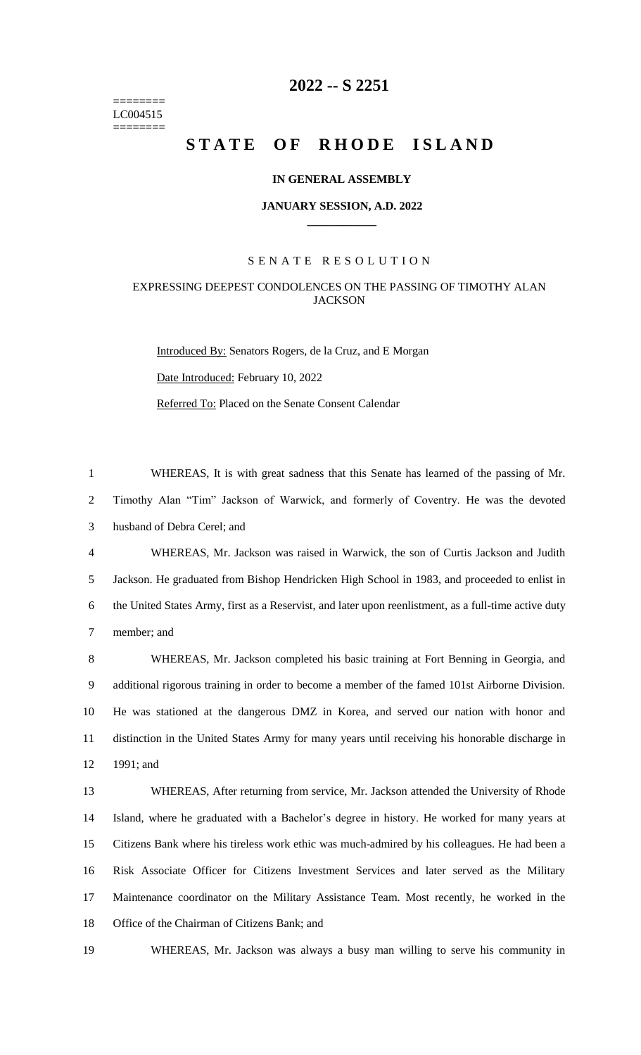======== LC004515 ========

# **-- S 2251**

# STATE OF RHODE ISLAND

#### **IN GENERAL ASSEMBLY**

#### **JANUARY SESSION, A.D. 2022 \_\_\_\_\_\_\_\_\_\_\_\_**

### S E N A T E R E S O L U T I O N

## EXPRESSING DEEPEST CONDOLENCES ON THE PASSING OF TIMOTHY ALAN **JACKSON**

Introduced By: Senators Rogers, de la Cruz, and E Morgan Date Introduced: February 10, 2022 Referred To: Placed on the Senate Consent Calendar

 WHEREAS, It is with great sadness that this Senate has learned of the passing of Mr. Timothy Alan "Tim" Jackson of Warwick, and formerly of Coventry. He was the devoted husband of Debra Cerel; and

 WHEREAS, Mr. Jackson was raised in Warwick, the son of Curtis Jackson and Judith Jackson. He graduated from Bishop Hendricken High School in 1983, and proceeded to enlist in the United States Army, first as a Reservist, and later upon reenlistment, as a full-time active duty member; and

 WHEREAS, Mr. Jackson completed his basic training at Fort Benning in Georgia, and additional rigorous training in order to become a member of the famed 101st Airborne Division. He was stationed at the dangerous DMZ in Korea, and served our nation with honor and distinction in the United States Army for many years until receiving his honorable discharge in 1991; and

 WHEREAS, After returning from service, Mr. Jackson attended the University of Rhode Island, where he graduated with a Bachelor's degree in history. He worked for many years at Citizens Bank where his tireless work ethic was much-admired by his colleagues. He had been a Risk Associate Officer for Citizens Investment Services and later served as the Military Maintenance coordinator on the Military Assistance Team. Most recently, he worked in the Office of the Chairman of Citizens Bank; and

WHEREAS, Mr. Jackson was always a busy man willing to serve his community in